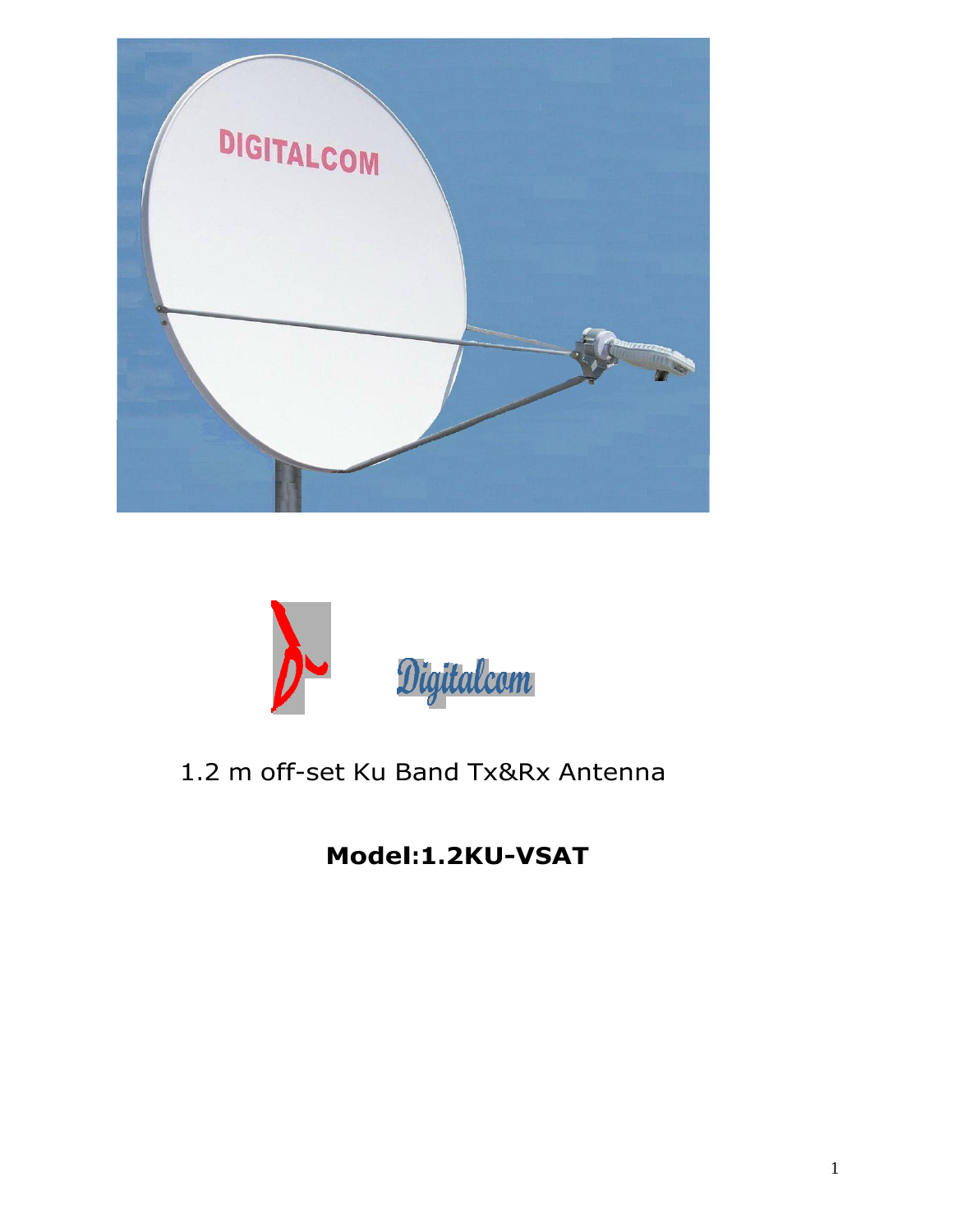



# 1.2 <sup>m</sup> off-set Ku Band Tx&Rx Antenna

**Model:1.2KU-VSAT**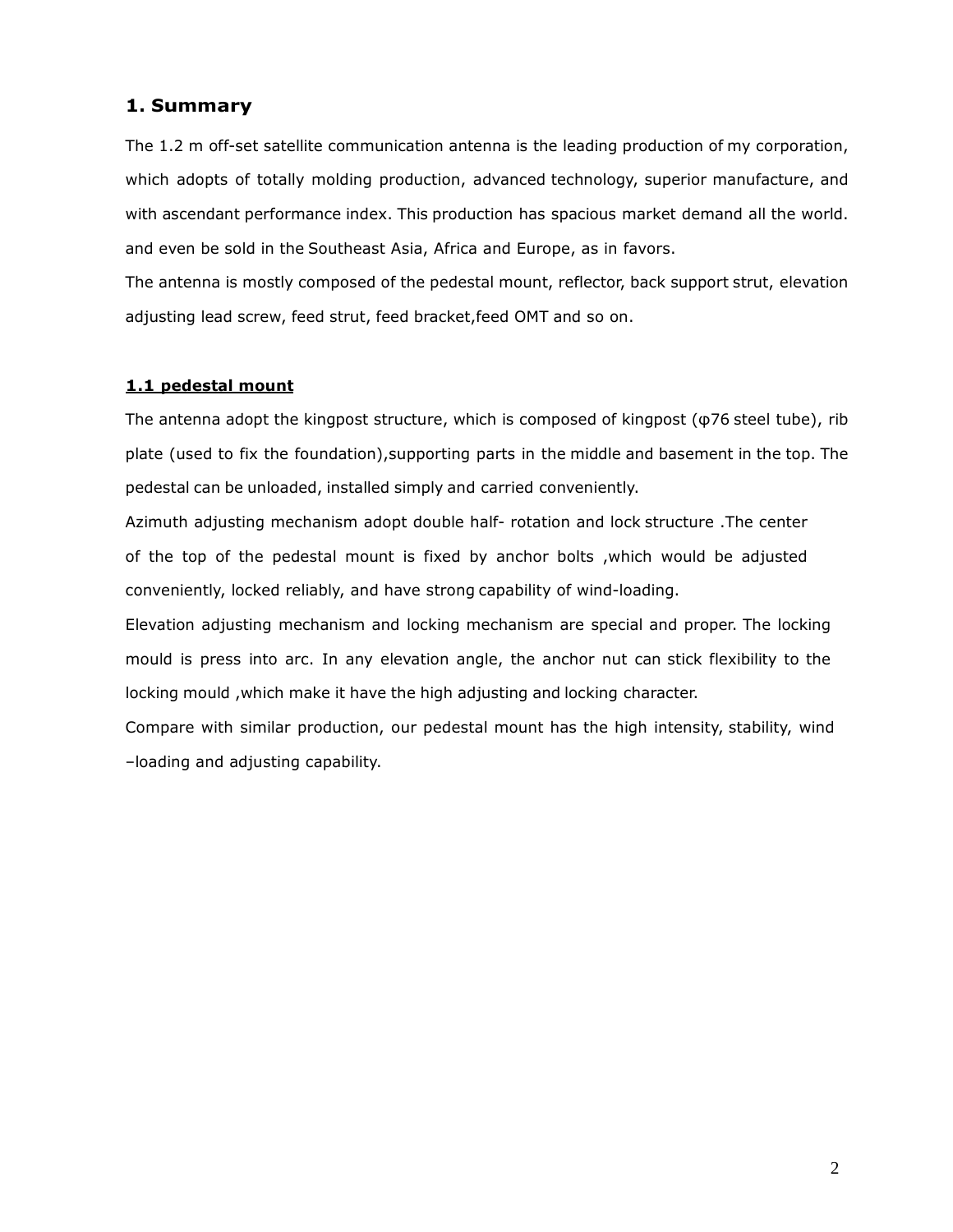#### **Summary**

 1.2 <sup>m</sup> off-set satellite communication antenna is the leading production of my corporation, which adopts of totally molding production, advanced technology, superior manufacture, and with ascendant performance index. This production has spacious market demand all the world. and even be sold in the Southeast Asia, Africa and Europe, as in favors.

The antenna is mostly composed of the pedestal mount, reflector, back support strut, elevation adjusting lead screw, feed strut, feed bracket, feed OMT and so on.

#### **1.1 pedestal mount**

The antenna adopt the kingpost structure, which is composed of kingpost ( $\varphi$ 76 steel tube), rib plate (used to fix the foundation), supporting parts in the middle and basement in the top. The pedestal can be unloaded, installed simply and carried conveniently.

Azimuth adjusting mechanism adopt double half- rotation and lock structure .The center of the top of the pedestal mount is fixed by anchor bolts , which would be adjusted conveniently, locked reliably, and have strong capability of wind-loading.

Elevation adjusting mechanism and locking mechanism are special and proper. The locking mould is press into arc. In any elevation angle, the anchor nut can stick flexibility to the locking mould, which make it have the high adjusting and locking character.

Compare with similar production, our pedestal mount has the high intensity, stability, wind -loading and adjusting capability.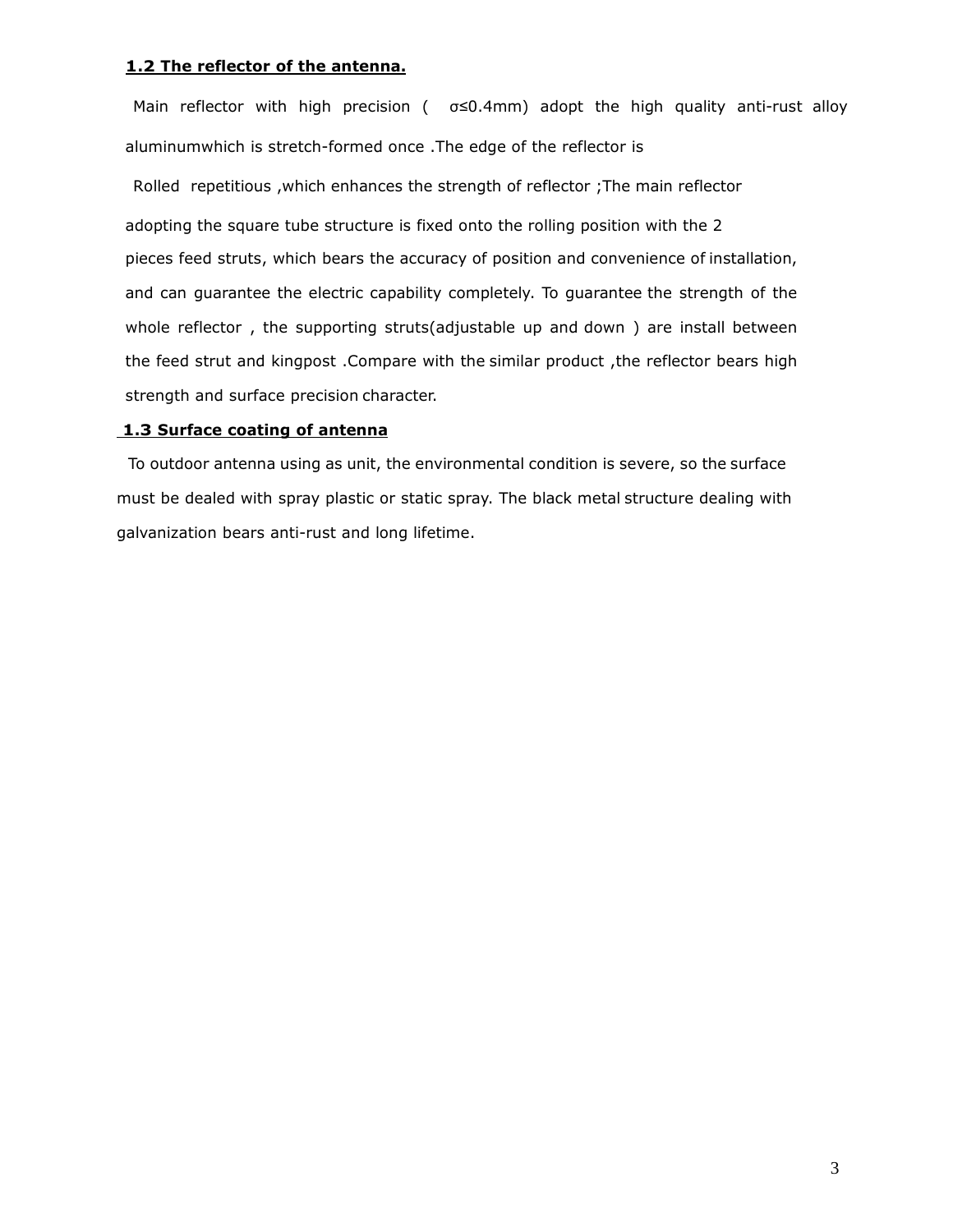#### **The reflector of the antenna.**

Main reflector with high precision ( $\sigma \le 0.4$ mm) adopt the high quality anti-rust alloy aluminumwhich is stretch-formed once .The edge of the reflector is

Rolled repetitious ,which enhances the strength of reflector ;The main reflector adopting the square tube structure is fixed onto the rolling position with the <sup>2</sup> pieces feed struts, which bears the accuracy of position and convenience of installation, and can guarantee the electric capability completely. To guarantee the strength of the whole reflector , the supporting struts(adjustable up and down ) are install between feed strut and kingpost .Compare with the similar product ,the reflector bears high strength and surface precision character.

#### **Surface coating of antenna**

To outdoor antenna using as unit, the environmental condition is severe, so the surface must be dealed with spray plastic or static spray. The black metal structure dealing with galvanization bears anti-rust and long lifetime.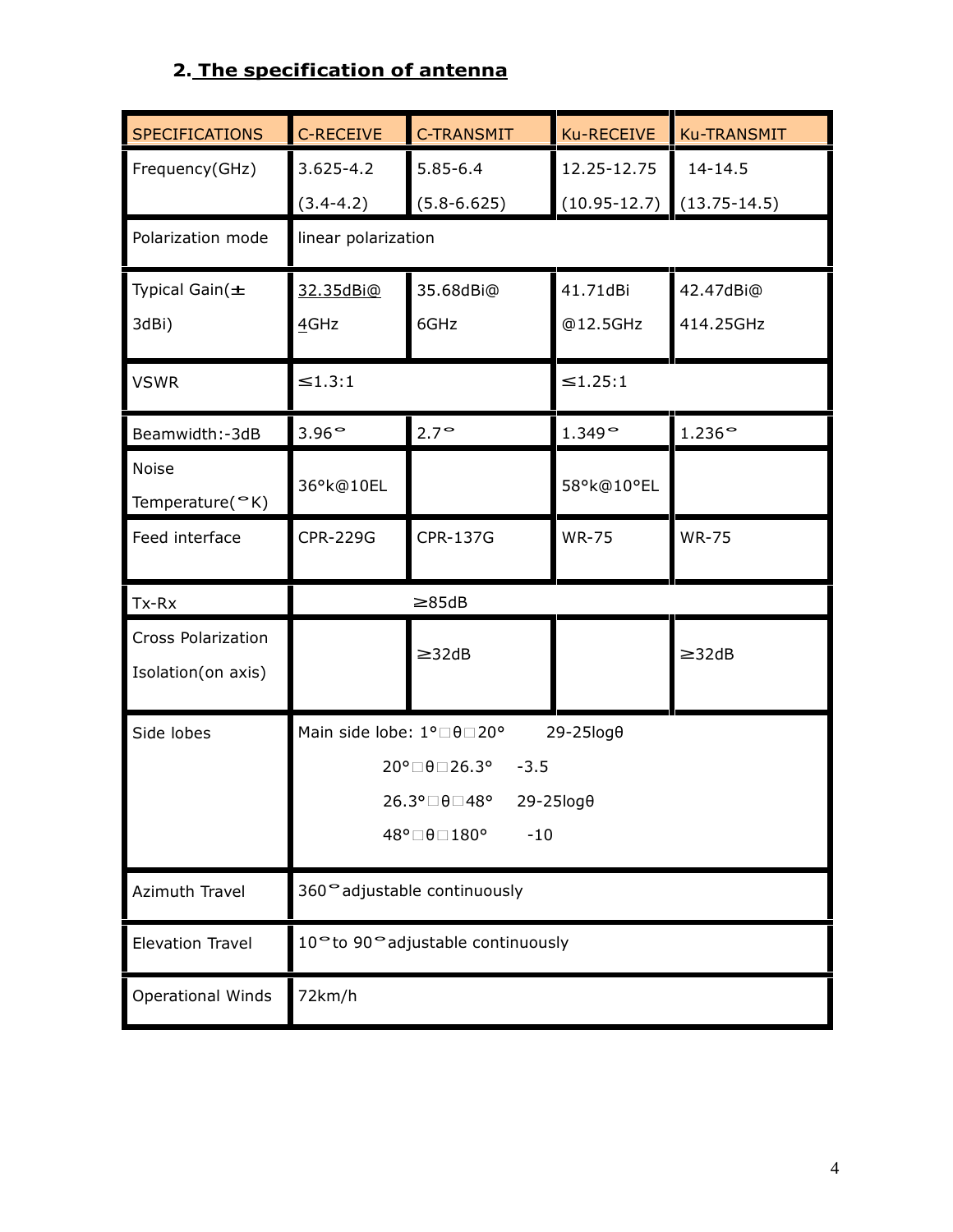## **2. The specification of antenna**

| <b>SPECIFICATIONS</b>     | C-RECEIVE                 | <b>C-TRANSMIT</b>                   | Ku-RECEIVE            | <b>Ku-TRANSMIT</b> |  |
|---------------------------|---------------------------|-------------------------------------|-----------------------|--------------------|--|
| Frequency(GHz)            | $3.625 - 4.2$             | $5.85 - 6.4$                        | 12.25-12.75           | 14-14.5            |  |
|                           | $(3.4 - 4.2)$             | $(5.8 - 6.625)$                     | $(10.95 - 12.7)$      | $(13.75-14.5)$     |  |
| Polarization mode         | linear polarization       |                                     |                       |                    |  |
| Typical Gain $(\pm$       | 32.35dBi@                 | 35.68dBi@                           | 41.71dBi              | 42.47dBi@          |  |
| 3dBi)                     | 4GHz                      | 6GHz                                | @12.5GHz              | 414.25GHz          |  |
| <b>VSWR</b>               | ≤1.3:1                    |                                     | ≤1.25:1               |                    |  |
| Beamwidth:-3dB            | $3.96^\circ$              | $2.7^\circ$                         | $1.349^{\circ}$       | $1.236$ °          |  |
| Noise<br>Temperature(°K)  | 36°k@10EL                 |                                     | 58°k@10°EL            |                    |  |
| Feed interface            | <b>CPR-229G</b>           | <b>CPR-137G</b>                     | <b>WR-75</b>          | <b>WR-75</b>       |  |
|                           |                           |                                     |                       |                    |  |
| Tx-Rx                     |                           | $\geq 85dB$                         |                       |                    |  |
| <b>Cross Polarization</b> |                           |                                     |                       |                    |  |
| Isolation(on axis)        |                           | $\geq$ 32dB                         |                       | $\geq$ 32dB        |  |
| Side lobes                | Main side lobe: 1°□ 0□20° |                                     | 29-25log0             |                    |  |
|                           |                           | 20°□θ□26.3°<br>$-3.5$               |                       |                    |  |
|                           |                           | 26.3°□θ□48°<br>48°⊡θ⊟ 180°<br>$-10$ | $29 - 25 \log \theta$ |                    |  |
| Azimuth Travel            |                           | 360° adjustable continuously        |                       |                    |  |
| <b>Elevation Travel</b>   |                           | 10° to 90° adjustable continuously  |                       |                    |  |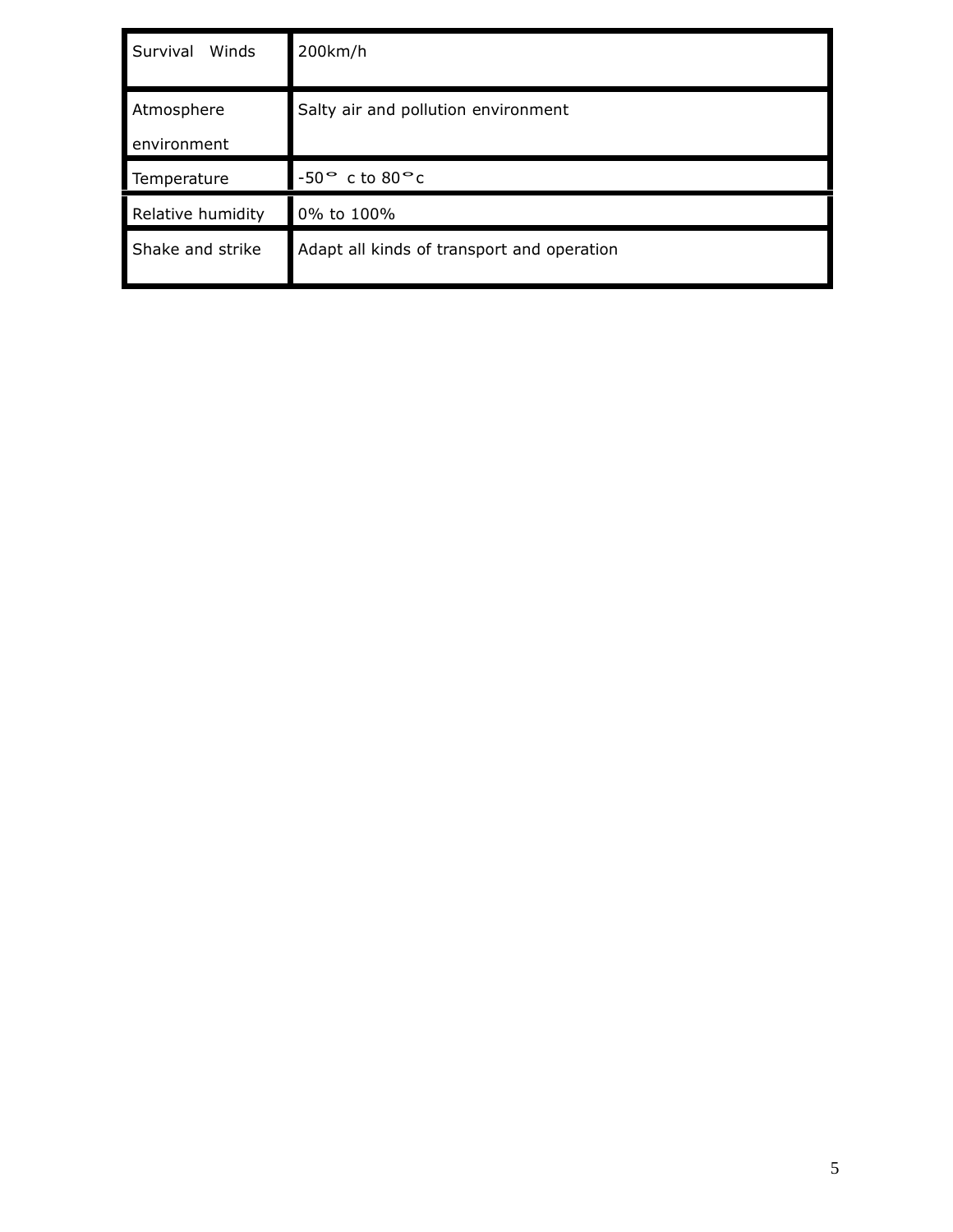| Survival<br>Winds         | 200km/h                                    |
|---------------------------|--------------------------------------------|
| Atmosphere<br>environment | Salty air and pollution environment        |
| Temperature               | $-50^\circ$ c to $80^\circ$ c              |
| Relative humidity         | 0% to 100%                                 |
| Shake and strike          | Adapt all kinds of transport and operation |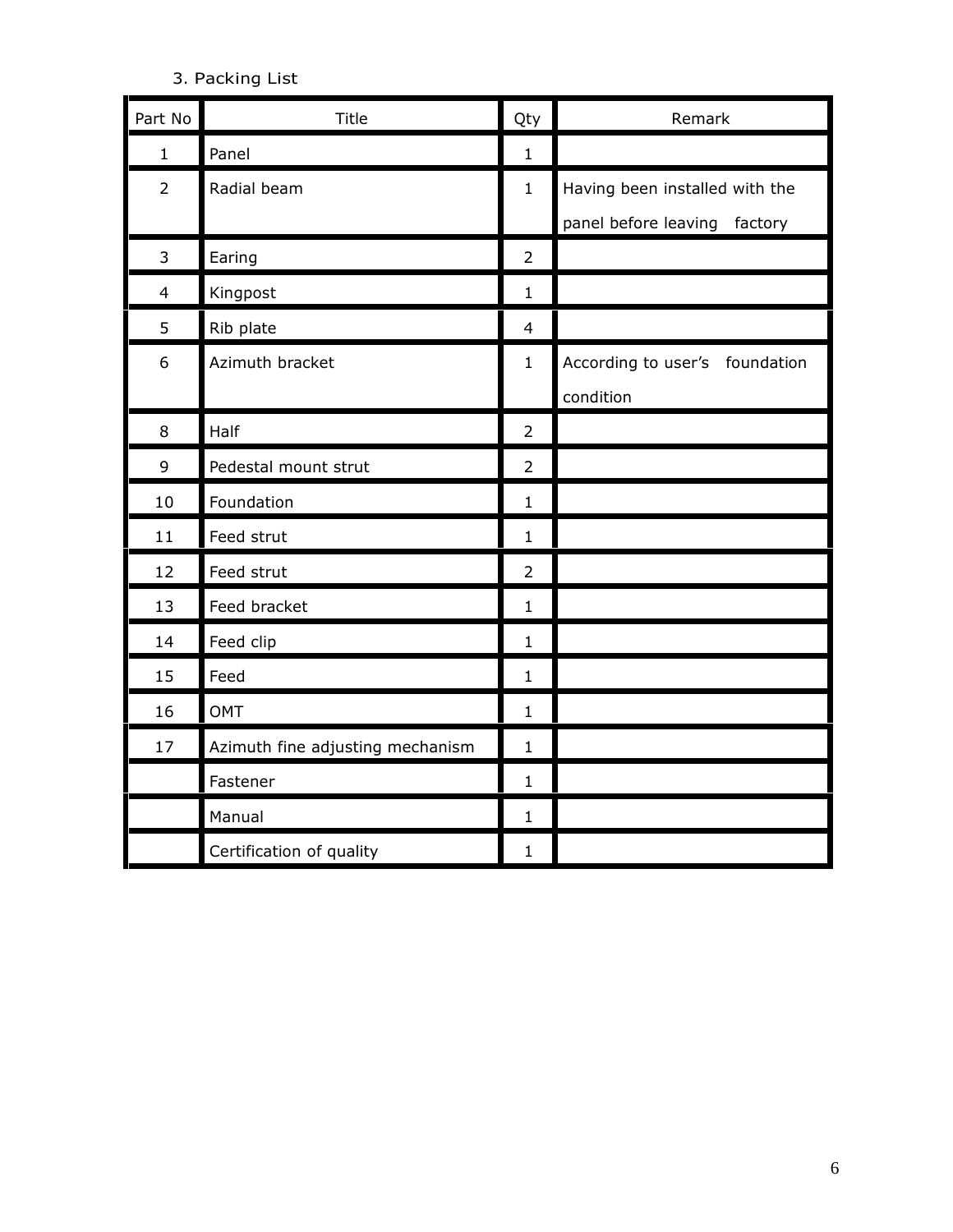### 3. Packing List

| Part No        | Title                            | Qty            | Remark                          |
|----------------|----------------------------------|----------------|---------------------------------|
| $\mathbf{1}$   | Panel                            | $\mathbf{1}$   |                                 |
| $\overline{2}$ | Radial beam                      | $\mathbf{1}$   | Having been installed with the  |
|                |                                  |                | panel before leaving<br>factory |
| $\overline{3}$ | Earing                           | $\overline{2}$ |                                 |
| 4              | Kingpost                         | $\mathbf 1$    |                                 |
| 5              | Rib plate                        | $\overline{4}$ |                                 |
| 6              | Azimuth bracket                  | $\mathbf{1}$   | According to user's foundation  |
|                |                                  |                | condition                       |
| 8              | Half                             | $\overline{2}$ |                                 |
| 9              | Pedestal mount strut             | $\overline{2}$ |                                 |
| 10             | Foundation                       | $\mathbf 1$    |                                 |
| 11             | Feed strut                       | 1              |                                 |
| 12             | Feed strut                       | $\overline{2}$ |                                 |
| 13             | Feed bracket                     | $\mathbf{1}$   |                                 |
| 14             | Feed clip                        | $\mathbf{1}$   |                                 |
| 15             | Feed                             | $\mathbf{1}$   |                                 |
| 16             | <b>OMT</b>                       | $\mathbf 1$    |                                 |
| 17             | Azimuth fine adjusting mechanism | $\mathbf{1}$   |                                 |
|                | Fastener                         | 1              |                                 |
|                | Manual                           | $\mathbf{1}$   |                                 |
|                | Certification of quality         | 1              |                                 |